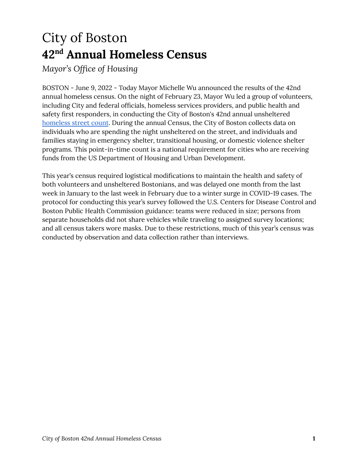# City of Boston **42 nd Annual Homeless Census**

*Mayor's Office of Housing*

BOSTON - June 9, 2022 - Today Mayor Michelle Wu announced the results of the 42nd annual homeless census. On the night of February 23, Mayor Wu led a group of volunteers, including City and federal officials, homeless services providers, and public health and safety first responders, in conducting the City of Boston's 42nd annual unsheltered [homeless](http://r20.rs6.net/tn.jsp?f=001TG2xk6XAe_p6FMpz4dxfjiPlVtLLnG8N1zCSbDSGw0om9Dm5g3DOXdAB8-stIMiyn7NaFuiotzuxLFES97CBEys2aI_VbQTBaLbrtcFUNEVo5IxF3hXnGhKM9tJDfued-i5oukVykTl6COTZuXekACI8ir5o1aAn1cgoeFbcOMSzAemEiJxI-wJO0R8nv8PNXdKscuakvosdp-vZ7XE1-xZO0Hwuqgv_MLGMRh-NQw57v0f2igPykQg7pTSb6ONk&c=vZMyh5p9yJMBtazvtH1HP_dpvpX3agP_Eyr04D_x22qrJKaK0NiaaQ==&ch=d2Tbuz_93rbW7GO9kRrXm1hXIzginLvg6l61cxcjh4rxQ_sykSdHgw==) street count. During the annual Census, the City of Boston collects data on individuals who are spending the night unsheltered on the street, and individuals and families staying in emergency shelter, transitional housing, or domestic violence shelter programs. This point-in-time count is a national requirement for cities who are receiving funds from the US Department of Housing and Urban Development.

This year's census required logistical modifications to maintain the health and safety of both volunteers and unsheltered Bostonians, and was delayed one month from the last week in January to the last week in February due to a winter surge in COVID-19 cases. The protocol for conducting this year's survey followed the U.S. Centers for Disease Control and Boston Public Health Commission guidance: teams were reduced in size; persons from separate households did not share vehicles while traveling to assigned survey locations; and all census takers wore masks. Due to these restrictions, much of this year's census was conducted by observation and data collection rather than interviews.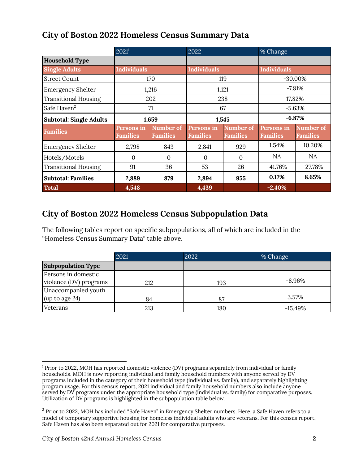## **City of Boston 2022 Homeless Census Summary Data**

|                                | $2021^1$                      |                              | 2022                          |                              | $%$ Change                           |                              |
|--------------------------------|-------------------------------|------------------------------|-------------------------------|------------------------------|--------------------------------------|------------------------------|
| <b>Household Type</b>          |                               |                              |                               |                              |                                      |                              |
| <b>Single Adults</b>           | <b>Individuals</b>            |                              | <b>Individuals</b>            |                              | <b>Individuals</b>                   |                              |
| <b>Street Count</b>            | 170                           |                              | 119                           |                              | $-30.00\%$                           |                              |
| <b>Emergency Shelter</b>       | 1,216                         |                              | 1,121                         |                              | $-7.81%$                             |                              |
| <b>Transitional Housing</b>    | 202                           |                              | 238                           |                              | 17.82%                               |                              |
| Safe Haven <sup>2</sup>        | 71                            |                              | 67                            |                              | $-5.63%$                             |                              |
| <b>Subtotal: Single Adults</b> | 1,659                         |                              | 1,545                         |                              | $-6.87%$                             |                              |
| <b>Families</b>                | Persons in<br><b>Families</b> | Number of<br><b>Families</b> | Persons in<br><b>Families</b> | Number of<br><b>Families</b> | <b>Persons in</b><br><b>Families</b> | Number of<br><b>Families</b> |
| <b>Emergency Shelter</b>       | 2,798                         | 843                          | 2,841                         | 929                          | 1.54%                                | 10.20%                       |
| Hotels/Motels                  | $\Omega$                      | $\Omega$                     | $\Omega$                      | $\Omega$                     | NA.                                  | NA                           |
| <b>Transitional Housing</b>    | 91                            | 36                           | 53                            | 26                           | $-41.76%$                            | $-27.78%$                    |
| <b>Subtotal: Families</b>      | 2,889                         | 879                          | 2,894                         | 955                          | 0.17%                                | 8.65%                        |
| <b>Total</b>                   | 4,548                         |                              | 4,439                         |                              | $-2.40%$                             |                              |

### **City of Boston 2022 Homeless Census Subpopulation Data**

The following tables report on specific subpopulations, all of which are included in the "Homeless Census Summary Data" table above.

|                           | 2021 | 2022 | % Change  |  |
|---------------------------|------|------|-----------|--|
| <b>Subpopulation Type</b> |      |      |           |  |
| Persons in domestic       |      |      |           |  |
| violence (DV) programs    | 212  | 193  | $-8.96%$  |  |
| Unaccompanied youth       |      |      |           |  |
| $\mu$ (up to age 24)      | 84   | 87   | 3.57%     |  |
| Veterans                  | 213  | 180  | $-15.49%$ |  |

<sup>1</sup> Prior to 2022, MOH has reported domestic violence (DV) programs separately from individual or family households. MOH is now reporting individual and family household numbers with anyone served by DV programs included in the category of their household type (individual vs. family), and separately highlighting program usage. For this census report, 2021 individual and family household numbers also include anyone served by DV programs under the appropriate household type (individual vs. family) for comparative purposes. Utilization of DV programs is highlighted in the subpopulation table below.

<sup>&</sup>lt;sup>2</sup> Prior to 2022, MOH has included "Safe Haven" in Emergency Shelter numbers. Here, a Safe Haven refers to a model of temporary supportive housing for homeless individual adults who are veterans. For this census report, Safe Haven has also been separated out for 2021 for comparative purposes.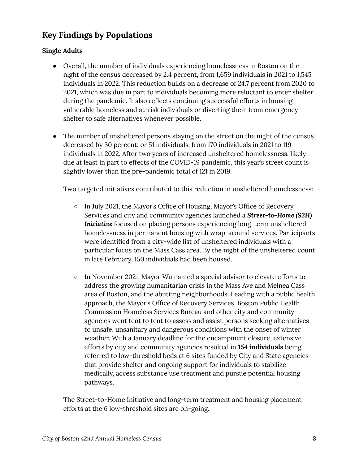## **Key Findings by Populations**

#### **Single Adults**

- Overall, the number of individuals experiencing homelessness in Boston on the night of the census decreased by 2.4 percent, from 1,659 individuals in 2021 to 1,545 individuals in 2022. This reduction builds on a decrease of 24.7 percent from 2020 to 2021, which was due in part to individuals becoming more reluctant to enter shelter during the pandemic. It also reflects continuing successful efforts in housing vulnerable homeless and at-risk individuals or diverting them from emergency shelter to safe alternatives whenever possible.
- The number of unsheltered persons staying on the street on the night of the census decreased by 30 percent, or 51 individuals, from 170 individuals in 2021 to 119 individuals in 2022. After two years of increased unsheltered homelessness, likely due at least in part to effects of the COVID-19 pandemic, this year's street count is slightly lower than the pre-pandemic total of 121 in 2019.

Two targeted initiatives contributed to this reduction in unsheltered homelessness:

- In July 2021, the Mayor's Office of Housing, Mayor's Office of Recovery Services and city and community agencies launched a *Street-to-Home (S2H) Initiative* focused on placing persons experiencing long-term unsheltered homelessness in permanent housing with wrap-around services. Participants were identified from a city-wide list of unsheltered individuals with a particular focus on the Mass Cass area. By the night of the unsheltered count in late February, 150 individuals had been housed.
- In November 2021, Mayor Wu named a special advisor to elevate efforts to address the growing humanitarian crisis in the Mass Ave and Melnea Cass area of Boston, and the abutting neighborhoods. Leading with a public health approach, the Mayor's Office of Recovery Services, Boston Public Health Commission Homeless Services Bureau and other city and community agencies went tent to tent to assess and assist persons seeking alternatives to unsafe, unsanitary and dangerous conditions with the onset of winter weather. With a January deadline for the encampment closure, extensive efforts by city and community agencies resulted in **154 individuals** being referred to low-threshold beds at 6 sites funded by City and State agencies that provide shelter and ongoing support for individuals to stabilize medically, access substance use treatment and pursue potential housing pathways.

The Street-to-Home Initiative and long-term treatment and housing placement efforts at the 6 low-threshold sites are on-going.